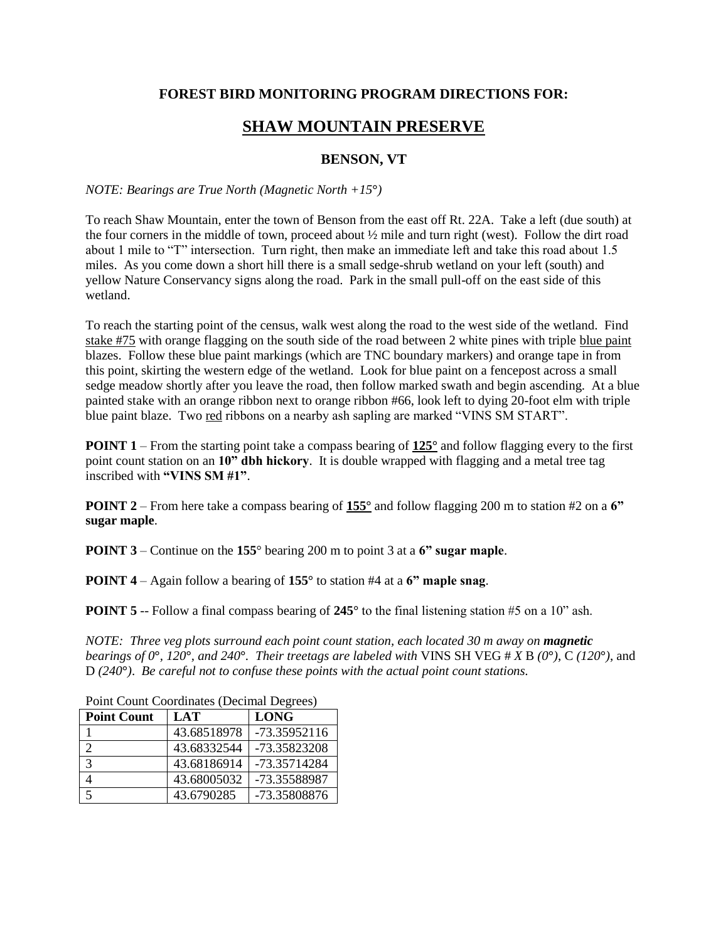## **FOREST BIRD MONITORING PROGRAM DIRECTIONS FOR:**

## **SHAW MOUNTAIN PRESERVE**

## **BENSON, VT**

## *NOTE: Bearings are True North (Magnetic North +15***°***)*

To reach Shaw Mountain, enter the town of Benson from the east off Rt. 22A. Take a left (due south) at the four corners in the middle of town, proceed about ½ mile and turn right (west). Follow the dirt road about 1 mile to "T" intersection. Turn right, then make an immediate left and take this road about 1.5 miles. As you come down a short hill there is a small sedge-shrub wetland on your left (south) and yellow Nature Conservancy signs along the road. Park in the small pull-off on the east side of this wetland.

To reach the starting point of the census, walk west along the road to the west side of the wetland. Find stake #75 with orange flagging on the south side of the road between 2 white pines with triple blue paint blazes. Follow these blue paint markings (which are TNC boundary markers) and orange tape in from this point, skirting the western edge of the wetland. Look for blue paint on a fencepost across a small sedge meadow shortly after you leave the road, then follow marked swath and begin ascending. At a blue painted stake with an orange ribbon next to orange ribbon #66, look left to dying 20-foot elm with triple blue paint blaze. Two red ribbons on a nearby ash sapling are marked "VINS SM START".

**POINT 1** – From the starting point take a compass bearing of **125°** and follow flagging every to the first point count station on an **10" dbh hickory**. It is double wrapped with flagging and a metal tree tag inscribed with **"VINS SM #1"**.

**POINT 2** – From here take a compass bearing of **155°** and follow flagging 200 m to station #2 on a **6" sugar maple**.

**POINT 3** – Continue on the **155**° bearing 200 m to point 3 at a **6" sugar maple**.

**POINT 4** – Again follow a bearing of **155°** to station #4 at a **6" maple snag**.

**POINT 5** -- Follow a final compass bearing of 245° to the final listening station #5 on a 10" ash.

*NOTE: Three veg plots surround each point count station, each located 30 m away on magnetic bearings of 0*°, 120°*, and 240*°*. Their treetags are labeled with VINS SH VEG # X B (0°), C (120°), and* D *(240***°***)*. *Be careful not to confuse these points with the actual point count stations.*

| I only count coordinates (Declinar Degrees) |             |              |
|---------------------------------------------|-------------|--------------|
| <b>Point Count</b>                          | LAT         | <b>LONG</b>  |
|                                             | 43.68518978 | -73.35952116 |
|                                             | 43.68332544 | -73.35823208 |
| $\mathcal{E}$                               | 43.68186914 | -73.35714284 |
|                                             | 43.68005032 | -73.35588987 |
|                                             | 43.6790285  | -73.35808876 |

Point Count Coordinates (Decimal Degrees)